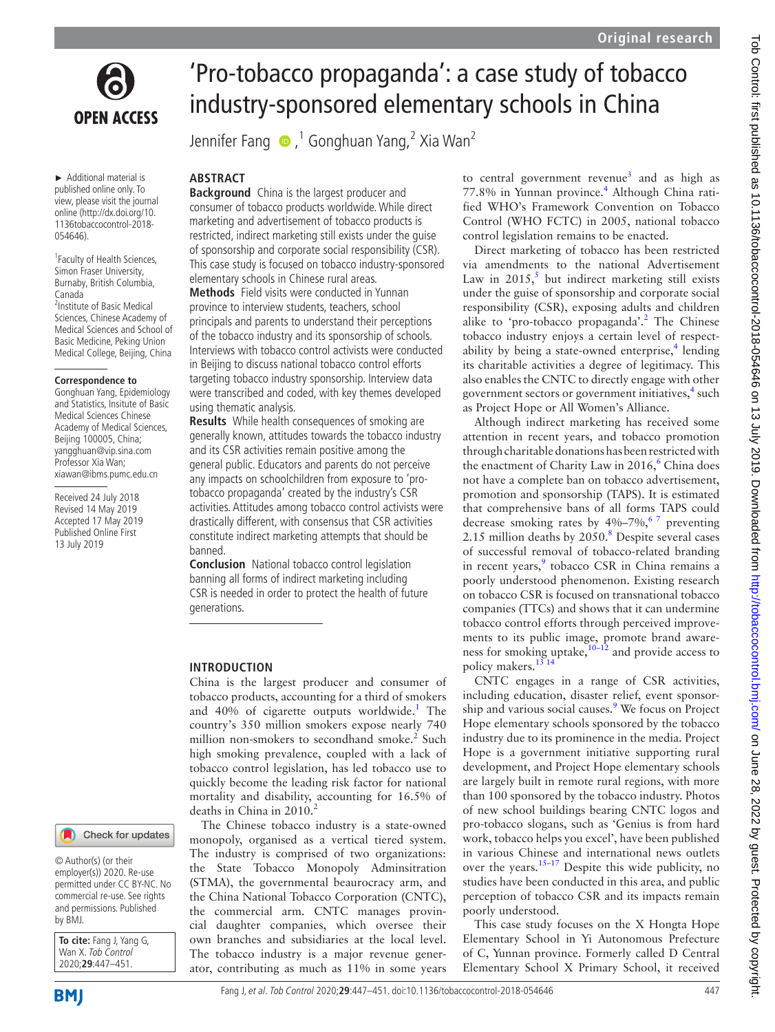

► Additional material is published online only. To view, please visit the journal online [\(http://dx.doi.org/10.](http://dx.doi.org/10.1136tobaccocontrol-2018-054646) [1136tobaccocontrol-2018-](http://dx.doi.org/10.1136tobaccocontrol-2018-054646) [054646\)](http://dx.doi.org/10.1136tobaccocontrol-2018-054646).

<sup>1</sup> Faculty of Health Sciences, Simon Fraser University, Burnaby, British Columbia, Canada <sup>2</sup> Institute of Basic Medical

Sciences, Chinese Academy of Medical Sciences and School of Basic Medicine, Peking Union Medical College, Beijing, China

#### **Correspondence to**

Gonghuan Yang, Epidemiology and Statistics, Insitute of Basic Medical Sciences Chinese Academy of Medical Sciences, Beijing 100005, China; yangghuan@vip.sina.com Professor Xia Wan; xiawan@ibms.pumc.edu.cn

Received 24 July 2018 Revised 14 May 2019 Accepted 17 May 2019 Published Online First 13 July 2019

# 'Pro-tobacco propaganda': a case study of tobacco industry-sponsored elementary schools in China

JenniferFang  $\bigcirc$  ,<sup>1</sup> Gonghuan Yang,<sup>2</sup> Xia Wan<sup>2</sup>

## **ABSTRACT**

**Background** China is the largest producer and consumer of tobacco products worldwide. While direct marketing and advertisement of tobacco products is restricted, indirect marketing still exists under the guise of sponsorship and corporate social responsibility (CSR). This case study is focused on tobacco industry-sponsored elementary schools in Chinese rural areas.

**Methods** Field visits were conducted in Yunnan province to interview students, teachers, school principals and parents to understand their perceptions of the tobacco industry and its sponsorship of schools. Interviews with tobacco control activists were conducted in Beijing to discuss national tobacco control efforts targeting tobacco industry sponsorship. Interview data were transcribed and coded, with key themes developed using thematic analysis.

**Results** While health consequences of smoking are generally known, attitudes towards the tobacco industry and its CSR activities remain positive among the general public. Educators and parents do not perceive any impacts on schoolchildren from exposure to 'protobacco propaganda' created by the industry's CSR activities. Attitudes among tobacco control activists were drastically different, with consensus that CSR activities constitute indirect marketing attempts that should be banned.

**Conclusion** National tobacco control legislation banning all forms of indirect marketing including CSR is needed in order to protect the health of future generations.

## **Introduction**

China is the largest producer and consumer of tobacco products, accounting for a third of smokers and 40% of cigarette outputs worldwide.<sup>1</sup> The country's 350 million smokers expose nearly 740 million non-smokers to secondhand smoke.<sup>[2](#page-4-1)</sup> Such high smoking prevalence, coupled with a lack of tobacco control legislation, has led tobacco use to quickly become the leading risk factor for national mortality and disability, accounting for 16.5% of deaths in China in 2010.<sup>2</sup>

The Chinese tobacco industry is a state-owned monopoly, organised as a vertical tiered system. The industry is comprised of two organizations: the State Tobacco Monopoly Adminsitration (STMA), the governmental beaurocracy arm, and the China National Tobacco Corporation (CNTC), the commercial arm. CNTC manages provincial daughter companies, which oversee their own branches and subsidiaries at the local level. The tobacco industry is a major revenue generator, contributing as much as 11% in some years to central government revenue<sup>[3](#page-4-2)</sup> and as high as 77.8% in Yunnan province.<sup>[4](#page-4-3)</sup> Although China ratified WHO's Framework Convention on Tobacco Control (WHO FCTC) in 2005, national tobacco control legislation remains to be enacted.

Direct marketing of tobacco has been restricted via amendments to the national Advertisement Law in  $2015$  $2015$ ,<sup>5</sup> but indirect marketing still exists under the guise of sponsorship and corporate social responsibility (CSR), exposing adults and children alike to 'pro-tobacco propaganda'.<sup>[2](#page-4-1)</sup> The Chinese tobacco industry enjoys a certain level of respectability by being a state-owned enterprise, $4$  lending its charitable activities a degree of legitimacy. This also enables the CNTC to directly engage with other government sectors or government initiatives,<sup>[4](#page-4-3)</sup> such as Project Hope or All Women's Alliance.

Although indirect marketing has received some attention in recent years, and tobacco promotion through charitable donations has been restricted with the enactment of Charity Law in 201[6](#page-4-5),<sup>6</sup> China does not have a complete ban on tobacco advertisement, promotion and sponsorship (TAPS). It is estimated that comprehensive bans of all forms TAPS could decrease smoking rates by  $4\% - 7\%$ , <sup>67</sup> preventing 2.15 million deaths by 2050.<sup>[8](#page-4-6)</sup> Despite several cases of successful removal of tobacco-related branding in recent years,<sup>9</sup> tobacco CSR in China remains a poorly understood phenomenon. Existing research on tobacco CSR is focused on transnational tobacco companies (TTCs) and shows that it can undermine tobacco control efforts through perceived improvements to its public image, promote brand awareness for smoking uptake, $10^{-12}$  and provide access to policy makers.<sup>[13 14](#page-4-9)</sup>

CNTC engages in a range of CSR activities, including education, disaster relief, event sponsorship and various social causes.<sup>9</sup> We focus on Project Hope elementary schools sponsored by the tobacco industry due to its prominence in the media. Project Hope is a government initiative supporting rural development, and Project Hope elementary schools are largely built in remote rural regions, with more than 100 sponsored by the tobacco industry. Photos of new school buildings bearing CNTC logos and pro-tobacco slogans, such as 'Genius is from hard work, tobacco helps you excel', have been published in various Chinese and international news outlets over the years.<sup>[15–17](#page-4-10)</sup> Despite this wide publicity, no studies have been conducted in this area, and public perception of tobacco CSR and its impacts remain poorly understood.

This case study focuses on the X Hongta Hope Elementary School in Yi Autonomous Prefecture of C, Yunnan province. Formerly called D Central Elementary School X Primary School, it received

employer(s)) 2020. Re-use

Check for updates

© Author(s) (or their

permitted under CC BY-NC. No commercial re-use. See rights and permissions. Published by BMJ.

**To cite:** Fang J, Yang G, Wan X. Tob Control 2020;**29**:447–451.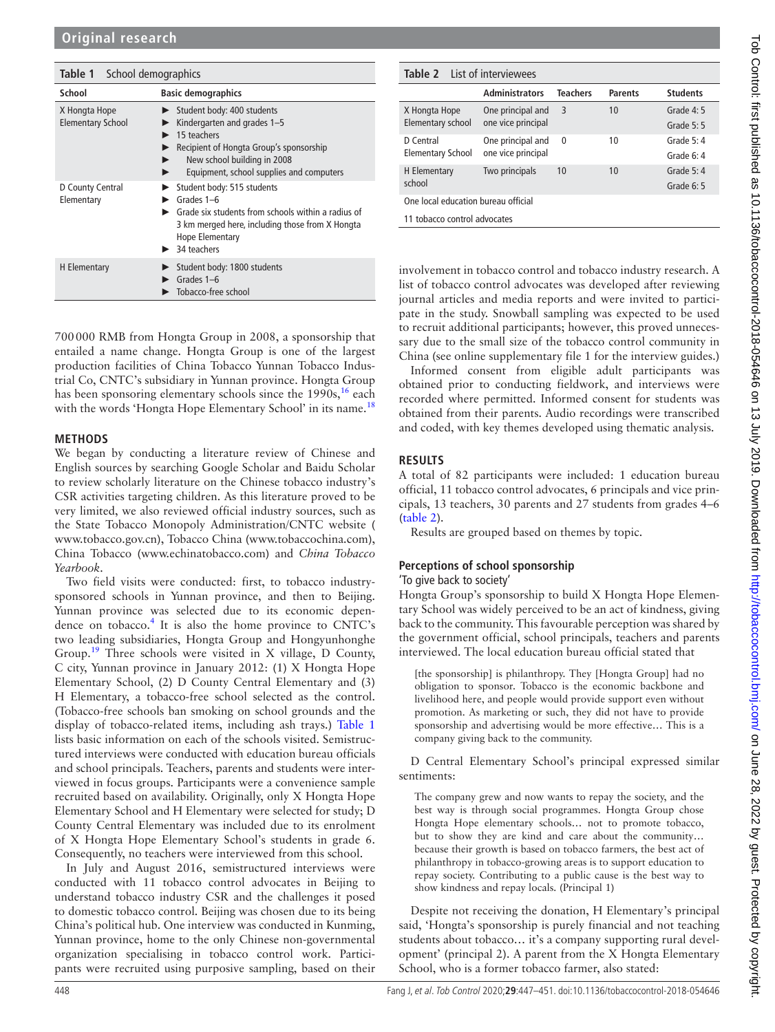<span id="page-1-0"></span>

| <b>Table 1</b> School demographics        |                                                                                                                                                                                                           |
|-------------------------------------------|-----------------------------------------------------------------------------------------------------------------------------------------------------------------------------------------------------------|
| School                                    | <b>Basic demographics</b>                                                                                                                                                                                 |
| X Hongta Hope<br><b>Elementary School</b> | Student body: 400 students<br>Kindergarten and grades 1-5<br>15 teachers<br>Recipient of Hongta Group's sponsorship<br>New school building in 2008<br>Equipment, school supplies and computers            |
| D County Central<br>Elementary            | Student body: 515 students<br>Grades 1-6<br>Grade six students from schools within a radius of<br>3 km merged here, including those from X Hongta<br>Hope Elementary<br>$\blacktriangleright$ 34 teachers |
| H Elementary                              | Student body: 1800 students<br>Grades 1-6<br>Tobacco-free school                                                                                                                                          |

700000 RMB from Hongta Group in 2008, a sponsorship that entailed a name change. Hongta Group is one of the largest production facilities of China Tobacco Yunnan Tobacco Industrial Co, CNTC's subsidiary in Yunnan province. Hongta Group has been sponsoring elementary schools since the  $1990s<sub>16</sub>$  $1990s<sub>16</sub>$  $1990s<sub>16</sub>$  each with the words 'Hongta Hope Elementary School' in its name.<sup>[18](#page-4-12)</sup>

## **Methods**

We began by conducting a literature review of Chinese and English sources by searching Google Scholar and Baidu Scholar to review scholarly literature on the Chinese tobacco industry's CSR activities targeting children. As this literature proved to be very limited, we also reviewed official industry sources, such as the State Tobacco Monopoly Administration/CNTC website ( [www.tobacco.gov.cn\)](www.tobacco.gov.cn), Tobacco China (<www.tobaccochina.com>), China Tobacco (<www.echinatobacco.com>) and *China Tobacco Yearbook*.

Two field visits were conducted: first, to tobacco industrysponsored schools in Yunnan province, and then to Beijing. Yunnan province was selected due to its economic depen-dence on tobacco.<sup>[4](#page-4-3)</sup> It is also the home province to CNTC's two leading subsidiaries, Hongta Group and Hongyunhonghe Group.[19](#page-4-13) Three schools were visited in X village, D County, C city, Yunnan province in January 2012: (1) X Hongta Hope Elementary School, (2) D County Central Elementary and (3) H Elementary, a tobacco-free school selected as the control. (Tobacco-free schools ban smoking on school grounds and the display of tobacco-related items, including ash trays.) [Table](#page-1-0) 1 lists basic information on each of the schools visited. Semistructured interviews were conducted with education bureau officials and school principals. Teachers, parents and students were interviewed in focus groups. Participants were a convenience sample recruited based on availability. Originally, only X Hongta Hope Elementary School and H Elementary were selected for study; D County Central Elementary was included due to its enrolment of X Hongta Hope Elementary School's students in grade 6. Consequently, no teachers were interviewed from this school.

In July and August 2016, semistructured interviews were conducted with 11 tobacco control advocates in Beijing to understand tobacco industry CSR and the challenges it posed to domestic tobacco control. Beijing was chosen due to its being China's political hub. One interview was conducted in Kunming, Yunnan province, home to the only Chinese non-governmental organization specialising in tobacco control work. Participants were recruited using purposive sampling, based on their

<span id="page-1-1"></span>

| <b>Table 2</b> List of interviewees |                                         |                 |                |                 |  |
|-------------------------------------|-----------------------------------------|-----------------|----------------|-----------------|--|
|                                     | <b>Administrators</b>                   | <b>Teachers</b> | <b>Parents</b> | <b>Students</b> |  |
| X Hongta Hope                       | One principal and<br>one vice principal | 3               | 10             | Grade $4:5$     |  |
| Elementary school                   |                                         |                 |                | Grade 5: 5      |  |
| D Central<br>Elementary School      | One principal and<br>one vice principal | $\Omega$        | 10             | Grade $5:4$     |  |
|                                     |                                         |                 |                | Grade $6:4$     |  |
| H Elementary<br>school              | Two principals                          | 10              | 10             | Grade $5:4$     |  |
|                                     |                                         |                 |                | Grade $6:5$     |  |
| One local education bureau official |                                         |                 |                |                 |  |
| 11 tobacco control advocates        |                                         |                 |                |                 |  |
|                                     |                                         |                 |                |                 |  |

involvement in tobacco control and tobacco industry research. A list of tobacco control advocates was developed after reviewing journal articles and media reports and were invited to participate in the study. Snowball sampling was expected to be used to recruit additional participants; however, this proved unnecessary due to the small size of the tobacco control community in China (see [online supplementary file 1](https://dx.doi.org/10.1136/tobaccocontrol-2018-054646) for the interview guides.)

Informed consent from eligible adult participants was obtained prior to conducting fieldwork, and interviews were recorded where permitted. Informed consent for students was obtained from their parents. Audio recordings were transcribed and coded, with key themes developed using thematic analysis.

# **Results**

A total of 82 participants were included: 1 education bureau official, 11 tobacco control advocates, 6 principals and vice principals, 13 teachers, 30 parents and 27 students from grades 4–6 ([table](#page-1-1) 2).

Results are grouped based on themes by topic.

# **Perceptions of school sponsorship**

'To give back to society'

Hongta Group's sponsorship to build X Hongta Hope Elementary School was widely perceived to be an act of kindness, giving back to the community. This favourable perception was shared by the government official, school principals, teachers and parents interviewed. The local education bureau official stated that

[the sponsorship] is philanthropy. They [Hongta Group] had no obligation to sponsor. Tobacco is the economic backbone and livelihood here, and people would provide support even without promotion. As marketing or such, they did not have to provide sponsorship and advertising would be more effective… This is a company giving back to the community.

D Central Elementary School's principal expressed similar sentiments:

The company grew and now wants to repay the society, and the best way is through social programmes. Hongta Group chose Hongta Hope elementary schools… not to promote tobacco, but to show they are kind and care about the community… because their growth is based on tobacco farmers, the best act of philanthropy in tobacco-growing areas is to support education to repay society. Contributing to a public cause is the best way to show kindness and repay locals. (Principal 1)

Despite not receiving the donation, H Elementary's principal said, 'Hongta's sponsorship is purely financial and not teaching students about tobacco… it's a company supporting rural development' (principal 2). A parent from the X Hongta Elementary School, who is a former tobacco farmer, also stated: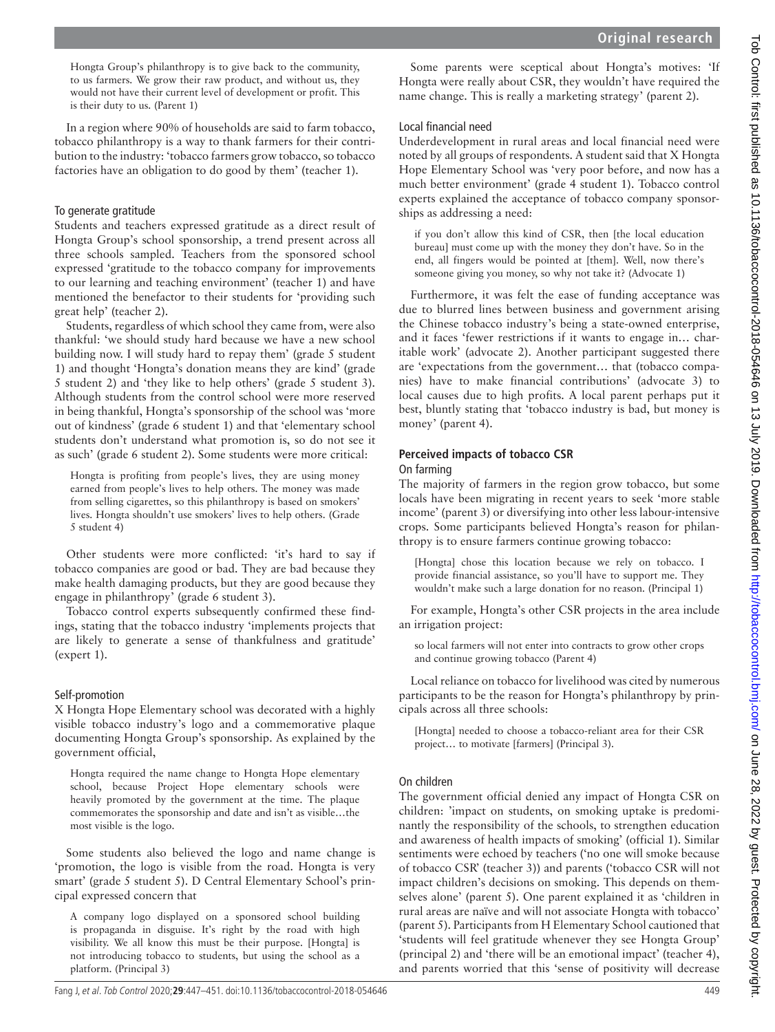Hongta Group's philanthropy is to give back to the community, to us farmers. We grow their raw product, and without us, they would not have their current level of development or profit. This is their duty to us. (Parent 1)

In a region where 90% of households are said to farm tobacco, tobacco philanthropy is a way to thank farmers for their contribution to the industry: 'tobacco farmers grow tobacco, so tobacco factories have an obligation to do good by them' (teacher 1).

# To generate gratitude

Students and teachers expressed gratitude as a direct result of Hongta Group's school sponsorship, a trend present across all three schools sampled. Teachers from the sponsored school expressed 'gratitude to the tobacco company for improvements to our learning and teaching environment' (teacher 1) and have mentioned the benefactor to their students for 'providing such great help' (teacher 2).

Students, regardless of which school they came from, were also thankful: 'we should study hard because we have a new school building now. I will study hard to repay them' (grade 5 student 1) and thought 'Hongta's donation means they are kind' (grade 5 student 2) and 'they like to help others' (grade 5 student 3). Although students from the control school were more reserved in being thankful, Hongta's sponsorship of the school was 'more out of kindness' (grade 6 student 1) and that 'elementary school students don't understand what promotion is, so do not see it as such' (grade 6 student 2). Some students were more critical:

Hongta is profiting from people's lives, they are using money earned from people's lives to help others. The money was made from selling cigarettes, so this philanthropy is based on smokers' lives. Hongta shouldn't use smokers' lives to help others. (Grade 5 student 4)

Other students were more conflicted: 'it's hard to say if tobacco companies are good or bad. They are bad because they make health damaging products, but they are good because they engage in philanthropy' (grade 6 student 3).

Tobacco control experts subsequently confirmed these findings, stating that the tobacco industry 'implements projects that are likely to generate a sense of thankfulness and gratitude' (expert 1).

# Self-promotion

X Hongta Hope Elementary school was decorated with a highly visible tobacco industry's logo and a commemorative plaque documenting Hongta Group's sponsorship. As explained by the government official,

Hongta required the name change to Hongta Hope elementary school, because Project Hope elementary schools were heavily promoted by the government at the time. The plaque commemorates the sponsorship and date and isn't as visible…the most visible is the logo.

Some students also believed the logo and name change is 'promotion, the logo is visible from the road. Hongta is very smart' (grade 5 student 5). D Central Elementary School's principal expressed concern that

A company logo displayed on a sponsored school building is propaganda in disguise. It's right by the road with high visibility. We all know this must be their purpose. [Hongta] is not introducing tobacco to students, but using the school as a platform. (Principal 3)

Some parents were sceptical about Hongta's motives: 'If Hongta were really about CSR, they wouldn't have required the name change. This is really a marketing strategy' (parent 2).

### Local financial need

Underdevelopment in rural areas and local financial need were noted by all groups of respondents. A student said that X Hongta Hope Elementary School was 'very poor before, and now has a much better environment' (grade 4 student 1). Tobacco control experts explained the acceptance of tobacco company sponsorships as addressing a need:

if you don't allow this kind of CSR, then [the local education bureau] must come up with the money they don't have. So in the end, all fingers would be pointed at [them]. Well, now there's someone giving you money, so why not take it? (Advocate 1)

Furthermore, it was felt the ease of funding acceptance was due to blurred lines between business and government arising the Chinese tobacco industry's being a state-owned enterprise, and it faces 'fewer restrictions if it wants to engage in… charitable work' (advocate 2). Another participant suggested there are 'expectations from the government… that (tobacco companies) have to make financial contributions' (advocate 3) to local causes due to high profits. A local parent perhaps put it best, bluntly stating that 'tobacco industry is bad, but money is money' (parent 4).

# **Perceived impacts of tobacco CSR**

#### On farming

The majority of farmers in the region grow tobacco, but some locals have been migrating in recent years to seek 'more stable income' (parent 3) or diversifying into other less labour-intensive crops. Some participants believed Hongta's reason for philanthropy is to ensure farmers continue growing tobacco:

[Hongta] chose this location because we rely on tobacco. I provide financial assistance, so you'll have to support me. They wouldn't make such a large donation for no reason. (Principal 1)

For example, Hongta's other CSR projects in the area include an irrigation project:

so local farmers will not enter into contracts to grow other crops and continue growing tobacco (Parent 4)

Local reliance on tobacco for livelihood was cited by numerous participants to be the reason for Hongta's philanthropy by principals across all three schools:

[Hongta] needed to choose a tobacco-reliant area for their CSR project… to motivate [farmers] (Principal 3).

## On children

The government official denied any impact of Hongta CSR on children: 'impact on students, on smoking uptake is predominantly the responsibility of the schools, to strengthen education and awareness of health impacts of smoking' (official 1). Similar sentiments were echoed by teachers ('no one will smoke because of tobacco CSR' (teacher 3)) and parents ('tobacco CSR will not impact children's decisions on smoking. This depends on themselves alone' (parent 5). One parent explained it as 'children in rural areas are naïve and will not associate Hongta with tobacco' (parent 5). Participants from H Elementary School cautioned that 'students will feel gratitude whenever they see Hongta Group' (principal 2) and 'there will be an emotional impact' (teacher 4), and parents worried that this 'sense of positivity will decrease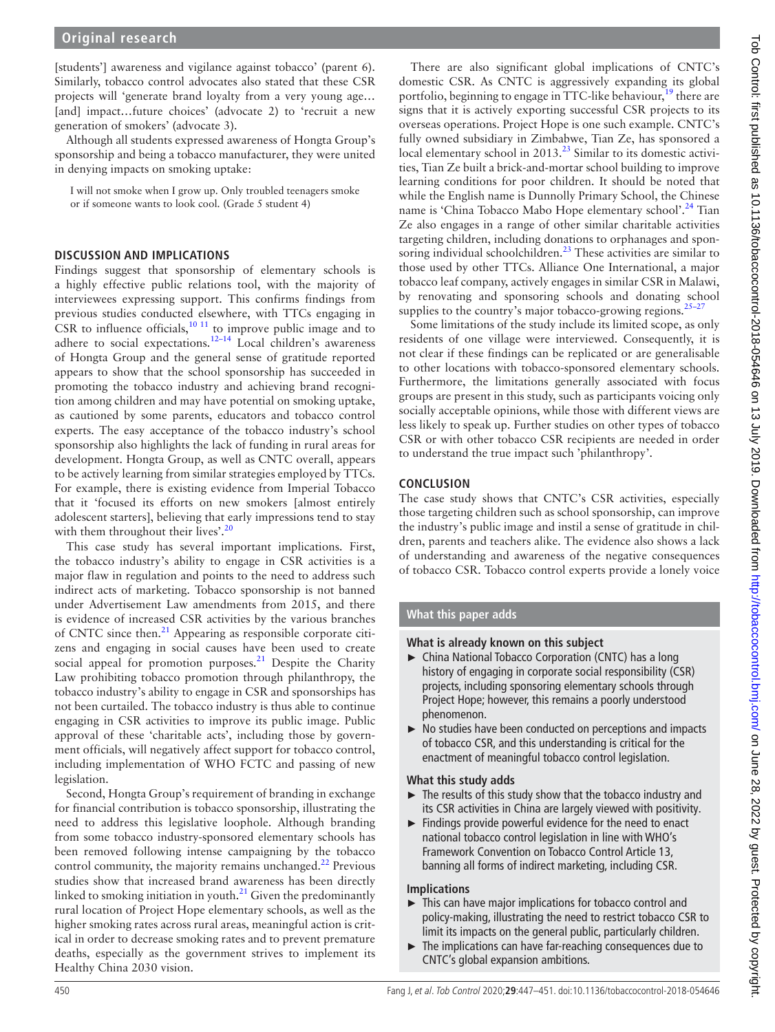[students'] awareness and vigilance against tobacco' (parent 6). Similarly, tobacco control advocates also stated that these CSR projects will 'generate brand loyalty from a very young age… [and] impact...future choices' (advocate 2) to 'recruit a new generation of smokers' (advocate 3).

Although all students expressed awareness of Hongta Group's sponsorship and being a tobacco manufacturer, they were united in denying impacts on smoking uptake:

I will not smoke when I grow up. Only troubled teenagers smoke or if someone wants to look cool. (Grade 5 student 4)

## **Discussion and implications**

Findings suggest that sponsorship of elementary schools is a highly effective public relations tool, with the majority of interviewees expressing support. This confirms findings from previous studies conducted elsewhere, with TTCs engaging in CSR to influence officials, $10^{-11}$  to improve public image and to adhere to social expectations.<sup>12–14</sup> Local children's awareness of Hongta Group and the general sense of gratitude reported appears to show that the school sponsorship has succeeded in promoting the tobacco industry and achieving brand recognition among children and may have potential on smoking uptake, as cautioned by some parents, educators and tobacco control experts. The easy acceptance of the tobacco industry's school sponsorship also highlights the lack of funding in rural areas for development. Hongta Group, as well as CNTC overall, appears to be actively learning from similar strategies employed by TTCs. For example, there is existing evidence from Imperial Tobacco that it 'focused its efforts on new smokers [almost entirely adolescent starters], believing that early impressions tend to stay with them throughout their lives'.<sup>[20](#page-4-15)</sup>

This case study has several important implications. First, the tobacco industry's ability to engage in CSR activities is a major flaw in regulation and points to the need to address such indirect acts of marketing. Tobacco sponsorship is not banned under Advertisement Law amendments from 2015, and there is evidence of increased CSR activities by the various branches of CNTC since then.<sup>21</sup> Appearing as responsible corporate citizens and engaging in social causes have been used to create social appeal for promotion purposes.<sup>21</sup> Despite the Charity Law prohibiting tobacco promotion through philanthropy, the tobacco industry's ability to engage in CSR and sponsorships has not been curtailed. The tobacco industry is thus able to continue engaging in CSR activities to improve its public image. Public approval of these 'charitable acts', including those by government officials, will negatively affect support for tobacco control, including implementation of WHO FCTC and passing of new legislation.

Second, Hongta Group's requirement of branding in exchange for financial contribution is tobacco sponsorship, illustrating the need to address this legislative loophole. Although branding from some tobacco industry-sponsored elementary schools has been removed following intense campaigning by the tobacco control community, the majority remains unchanged. $^{22}$  $^{22}$  $^{22}$  Previous studies show that increased brand awareness has been directly linked to smoking initiation in youth. $^{21}$  Given the predominantly rural location of Project Hope elementary schools, as well as the higher smoking rates across rural areas, meaningful action is critical in order to decrease smoking rates and to prevent premature deaths, especially as the government strives to implement its Healthy China 2030 vision.

There are also significant global implications of CNTC's domestic CSR. As CNTC is aggressively expanding its global portfolio, beginning to engage in TTC-like behaviour,<sup>19</sup> there are signs that it is actively exporting successful CSR projects to its overseas operations. Project Hope is one such example. CNTC's fully owned subsidiary in Zimbabwe, Tian Ze, has sponsored a local elementary school in 2013.<sup>23</sup> Similar to its domestic activities, Tian Ze built a brick-and-mortar school building to improve learning conditions for poor children. It should be noted that while the English name is Dunnolly Primary School, the Chinese name is 'China Tobacco Mabo Hope elementary school'.<sup>[24](#page-4-19)</sup> Tian Ze also engages in a range of other similar charitable activities targeting children, including donations to orphanages and spon-soring individual schoolchildren.<sup>[23](#page-4-18)</sup> These activities are similar to those used by other TTCs. Alliance One International, a major tobacco leaf company, actively engages in similar CSR in Malawi, by renovating and sponsoring schools and donating school supplies to the country's major tobacco-growing regions.  $25-27$ 

Some limitations of the study include its limited scope, as only residents of one village were interviewed. Consequently, it is not clear if these findings can be replicated or are generalisable to other locations with tobacco-sponsored elementary schools. Furthermore, the limitations generally associated with focus groups are present in this study, such as participants voicing only socially acceptable opinions, while those with different views are less likely to speak up. Further studies on other types of tobacco CSR or with other tobacco CSR recipients are needed in order to understand the true impact such 'philanthropy'.

# **Conclusion**

The case study shows that CNTC's CSR activities, especially those targeting children such as school sponsorship, can improve the industry's public image and instil a sense of gratitude in children, parents and teachers alike. The evidence also shows a lack of understanding and awareness of the negative consequences of tobacco CSR. Tobacco control experts provide a lonely voice

# **What this paper adds**

# **What is already known on this subject**

- ► China National Tobacco Corporation (CNTC) has a long history of engaging in corporate social responsibility (CSR) projects, including sponsoring elementary schools through Project Hope; however, this remains a poorly understood phenomenon.
- ► No studies have been conducted on perceptions and impacts of tobacco CSR, and this understanding is critical for the enactment of meaningful tobacco control legislation.

# **What this study adds**

- ► The results of this study show that the tobacco industry and its CSR activities in China are largely viewed with positivity.
- ► Findings provide powerful evidence for the need to enact national tobacco control legislation in line with WHO's Framework Convention on Tobacco Control Article 13, banning all forms of indirect marketing, including CSR.

# **Implications**

- ► This can have major implications for tobacco control and policy-making, illustrating the need to restrict tobacco CSR to limit its impacts on the general public, particularly children.
- ► The implications can have far-reaching consequences due to CNTC's global expansion ambitions.